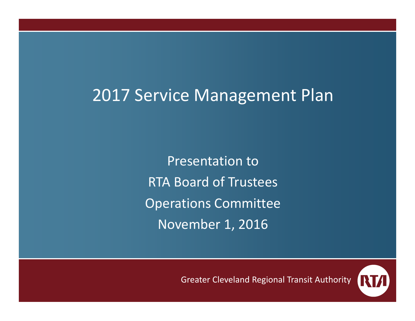## 2017 Service Management Plan

Presentation toRTA Board of Trustees Operations Committee November 1, 2016

Greater Cleveland Regional Transit Authority

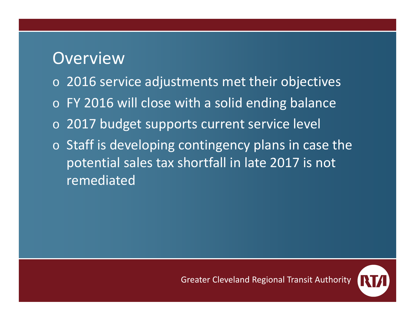### Overview

- $\, \circ \,$  2016 service adjustments met their objectives
- $\circ$  FY 2016 will close with a solid ending balance
- $\circ$  2017 budget supports current service level
- $\circ$  Staff is developing contingency plans in case the potential sales tax shortfall in late 2017 is not remediated

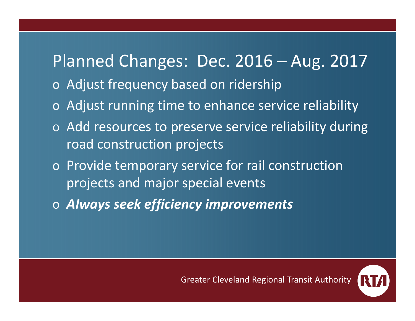# Planned Changes: Dec. 2016 – Aug. 2017

- o Adjust frequency based on ridership
- o Adjust running time to enhance service reliability
- o Add resources to preserve service reliability during road construction projects
- o Provide temporary service for rail construction projects and major special events
- o *Always seek efficiency improvements*

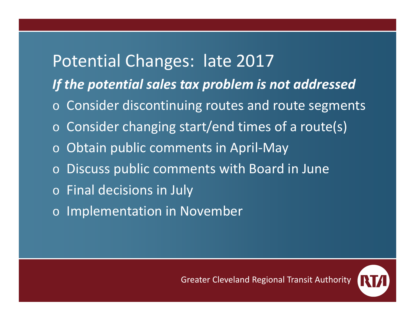# Potential Changes: late 2017

#### *If the potential sales tax problem is not addressed*

- $\circ$  Consider discontinuing routes and route segments
- o Consider changing start/end times of <sup>a</sup> route(s)
- oObtain public comments in April‐May
- oDiscuss public comments with Board in June
- o Final decisions in July
- o Implementation in November

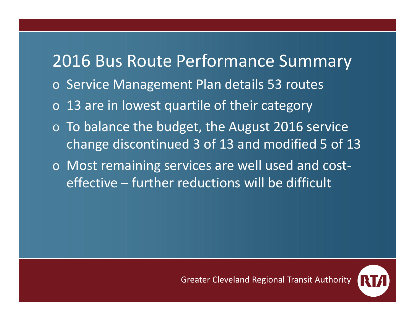### 2016 Bus Route Performance Summary

- o Service Management Plan details 53 routes
- $\circ$  13 are in lowest quartile of their category
- $\circ$  To balance the budget, the August 2016 service change discontinued 3 of 13 and modified 5 of 13
- o Most remaining services are well used and cost‐ effective – further reductions will be difficult